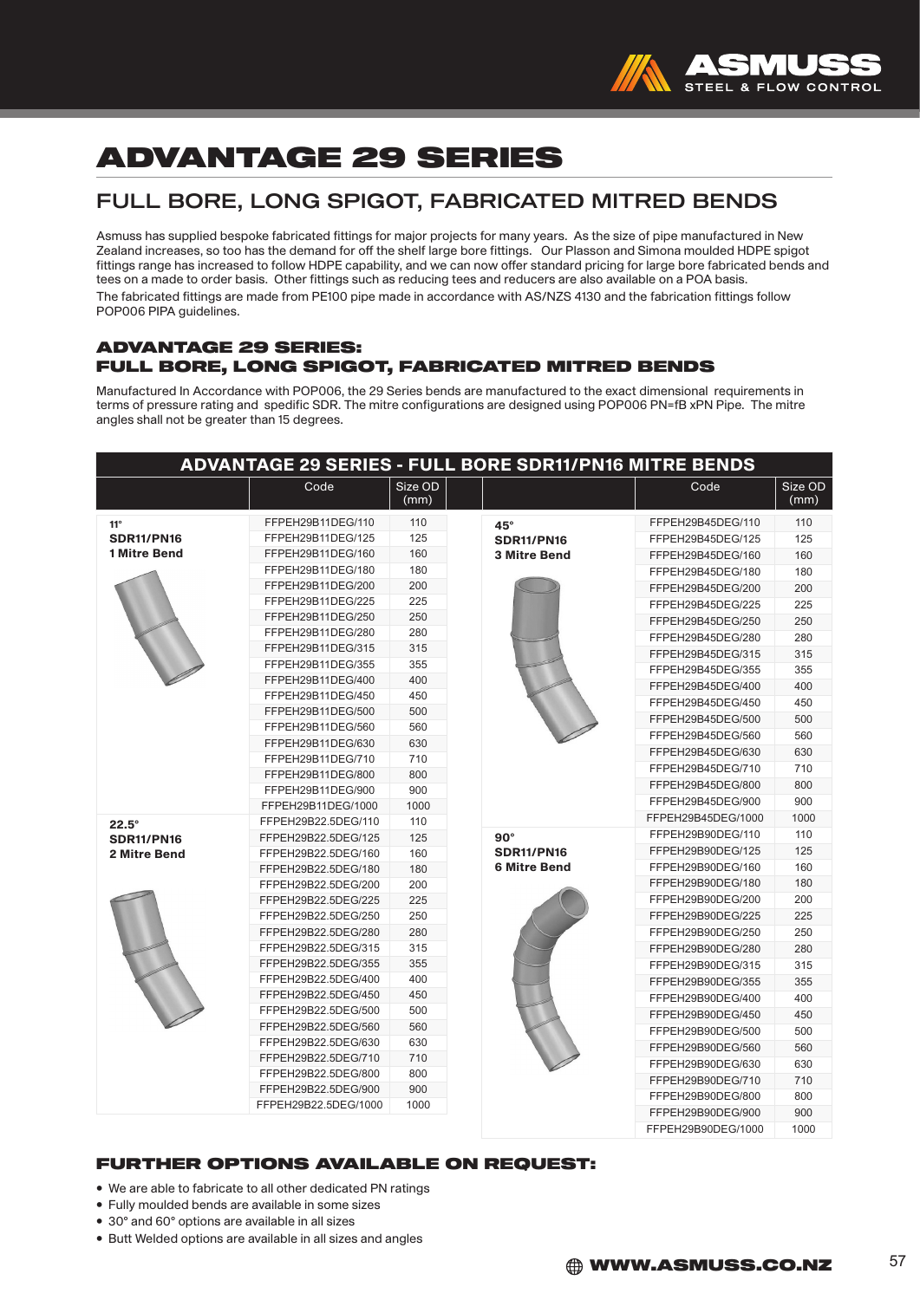

# ADVANTAGE 29 SERIES

## FULL BORE, LONG SPIGOT, FABRICATED MITRED BENDS

Asmuss has supplied bespoke fabricated fittings for major projects for many years. As the size of pipe manufactured in New Zealand increases, so too has the demand for off the shelf large bore fittings. Our Plasson and Simona moulded HDPE spigot fittings range has increased to follow HDPE capability, and we can now offer standard pricing for large bore fabricated bends and tees on a made to order basis. Other fittings such as reducing tees and reducers are also available on a POA basis. The fabricated fittings are made from PE100 pipe made in accordance with AS/NZS 4130 and the fabrication fittings follow POP006 PIPA guidelines.

#### ADVANTAGE 29 SERIES: FULL BORE, LONG SPIGOT, FABRICATED MITRED BENDS

Manufactured In Accordance with POP006, the 29 Series bends are manufactured to the exact dimensional requirements in terms of pressure rating and spedific SDR. The mitre configurations are designed using POP006 PN=fB xPN Pipe. The mitre angles shall not be greater than 15 degrees.

| <b>ADVANTAGE 29 SERIES - FULL BORE SDR11/PN16 MITRE BENDS</b> |                                             |                 |                                          |                    |                 |
|---------------------------------------------------------------|---------------------------------------------|-----------------|------------------------------------------|--------------------|-----------------|
|                                                               | Code                                        | Size OD<br>(mm) |                                          | Code               | Size OD<br>(mm) |
| $11^{\circ}$                                                  | FFPEH29B11DEG/110                           | 110             | $45^\circ$                               | FFPEH29B45DEG/110  | 110             |
| <b>SDR11/PN16</b><br><b>1 Mitre Bend</b>                      | FFPEH29B11DEG/125                           | 125             | <b>SDR11/PN16</b>                        | FFPEH29B45DEG/125  | 125             |
|                                                               | FFPEH29B11DEG/160                           | 160             | <b>3 Mitre Bend</b>                      | FFPEH29B45DEG/160  | 160             |
|                                                               | FFPEH29B11DEG/180                           | 180             |                                          | FFPEH29B45DEG/180  | 180             |
|                                                               | FFPEH29B11DEG/200                           | 200             |                                          | FFPEH29B45DEG/200  | 200             |
|                                                               | FFPEH29B11DEG/225                           | 225             |                                          | FFPEH29B45DEG/225  | 225             |
|                                                               | FFPEH29B11DEG/250                           | 250             |                                          | FFPEH29B45DEG/250  | 250             |
|                                                               | FFPEH29B11DEG/280                           | 280             |                                          | FFPEH29B45DEG/280  | 280             |
|                                                               | FFPEH29B11DEG/315                           | 315             |                                          | FFPEH29B45DEG/315  | 315             |
|                                                               | FFPEH29B11DEG/355                           | 355             |                                          | FFPEH29B45DEG/355  | 355             |
|                                                               | FFPEH29B11DEG/400                           | 400             |                                          | FFPEH29B45DEG/400  | 400             |
|                                                               | FFPEH29B11DEG/450                           | 450             |                                          | FFPEH29B45DEG/450  | 450             |
|                                                               | FFPEH29B11DEG/500                           | 500             |                                          | FFPEH29B45DEG/500  | 500             |
|                                                               | FFPEH29B11DEG/560                           | 560             |                                          | FFPEH29B45DEG/560  | 560             |
|                                                               | FFPEH29B11DEG/630                           | 630             |                                          | FFPEH29B45DEG/630  | 630             |
|                                                               | FFPEH29B11DEG/710                           | 710             |                                          | FFPEH29B45DEG/710  | 710             |
|                                                               | FFPEH29B11DEG/800                           | 800             |                                          | FFPEH29B45DEG/800  | 800             |
|                                                               | FFPEH29B11DEG/900                           | 900             |                                          | FFPEH29B45DEG/900  | 900             |
|                                                               | FFPEH29B11DEG/1000                          | 1000            |                                          | FFPEH29B45DEG/1000 | 1000            |
| $22.5^\circ$                                                  | FFPEH29B22.5DEG/110                         | 110             |                                          | FFPEH29B90DEG/110  | 110             |
| <b>SDR11/PN16</b>                                             | FFPEH29B22.5DEG/125                         | 125             | $90^\circ$                               | FFPEH29B90DEG/125  | 125             |
| 2 Mitre Bend                                                  | FFPEH29B22.5DEG/160                         | 160             | <b>SDR11/PN16</b><br><b>6 Mitre Bend</b> | FFPEH29B90DEG/160  | 160             |
|                                                               | FFPEH29B22.5DEG/180                         | 180             |                                          | FFPEH29B90DEG/180  | 180             |
|                                                               | FFPEH29B22.5DEG/200                         | 200             |                                          |                    |                 |
|                                                               | FFPEH29B22.5DEG/225                         | 225             |                                          | FFPEH29B90DEG/200  | 200             |
|                                                               | FFPEH29B22.5DEG/250                         | 250             |                                          | FFPEH29B90DEG/225  | 225             |
|                                                               | FFPEH29B22.5DEG/280                         | 280             |                                          | FFPEH29B90DEG/250  | 250             |
|                                                               | FFPEH29B22.5DEG/315<br>FFPEH29B22.5DEG/355  | 315             |                                          | FFPEH29B90DEG/280  | 280             |
|                                                               |                                             | 355             |                                          | FFPEH29B90DEG/315  | 315             |
|                                                               | FFPEH29B22.5DEG/400<br>FFPEH29B22.5DEG/450  | 400<br>450      |                                          | FFPEH29B90DEG/355  | 355             |
|                                                               |                                             |                 |                                          | FFPEH29B90DEG/400  | 400             |
|                                                               | FFPEH29B22.5DEG/500                         | 500             |                                          | FFPEH29B90DEG/450  | 450             |
|                                                               | FFPEH29B22.5DEG/560<br>FFPEH29B22.5DEG/630  | 560             |                                          | FFPEH29B90DEG/500  | 500             |
|                                                               | FFPEH29B22.5DEG/710                         | 630<br>710      |                                          | FFPEH29B90DEG/560  | 560             |
|                                                               | FFPEH29B22.5DEG/800                         | 800             |                                          | FFPEH29B90DEG/630  | 630             |
|                                                               |                                             |                 |                                          | FFPEH29B90DEG/710  | 710             |
|                                                               | FFPEH29B22.5DEG/900<br>FFPEH29B22.5DEG/1000 | 900<br>1000     |                                          | FFPEH29B90DEG/800  | 800             |
|                                                               |                                             |                 |                                          | FFPEH29B90DEG/900  | 900             |
|                                                               |                                             |                 |                                          | FFPEH29B90DEG/1000 | 1000            |

#### FURTHER OPTIONS AVAILABLE ON REQUEST:

- We are able to fabricate to all other dedicated PN ratings
- Fully moulded bends are available in some sizes
- 30° and 60° options are available in all sizes
- Butt Welded options are available in all sizes and angles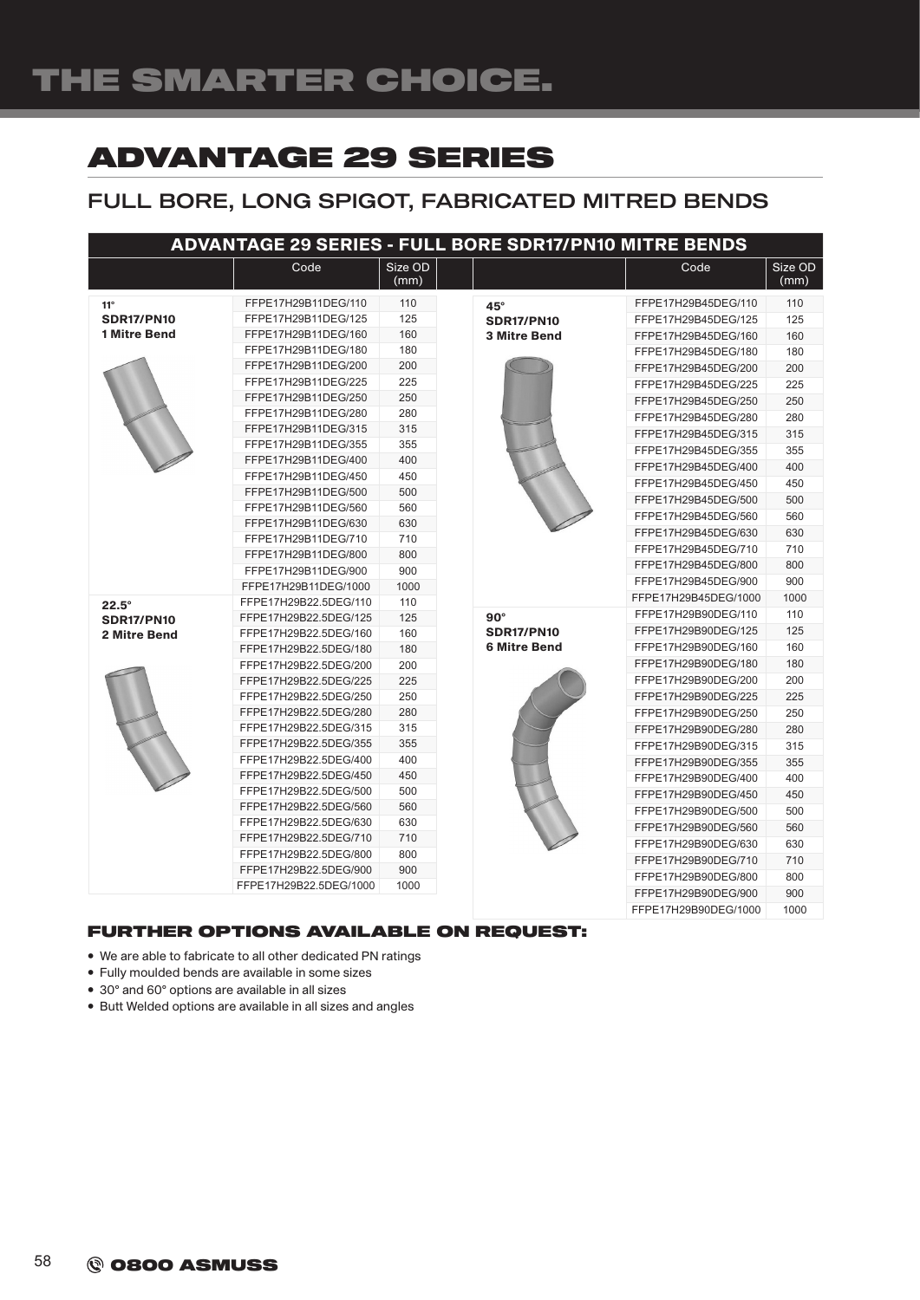## ADVANTAGE 29 SERIES

## FULL BORE, LONG SPIGOT, FABRICATED MITRED BENDS

| <b>ADVANTAGE 29 SERIES - FULL BORE SDR17/PN10 MITRE BENDS</b> |                        |                 |                     |                      |                 |
|---------------------------------------------------------------|------------------------|-----------------|---------------------|----------------------|-----------------|
|                                                               | Code                   | Size OD<br>(mm) |                     | Code                 | Size OD<br>(mm) |
| $11^\circ$                                                    | FFPE17H29B11DEG/110    | 110             | $45^\circ$          | FFPE17H29B45DEG/110  | 110             |
| <b>SDR17/PN10</b>                                             | FFPE17H29B11DEG/125    | 125             | <b>SDR17/PN10</b>   | FFPE17H29B45DEG/125  | 125             |
| <b>1 Mitre Bend</b>                                           | FFPE17H29B11DEG/160    | 160             | <b>3 Mitre Bend</b> | FFPE17H29B45DEG/160  | 160             |
|                                                               | FFPE17H29B11DEG/180    | 180             |                     | FFPE17H29B45DEG/180  | 180             |
|                                                               | FFPE17H29B11DEG/200    | 200             |                     | FFPE17H29B45DEG/200  | 200             |
|                                                               | FFPE17H29B11DEG/225    | 225             |                     | FFPE17H29B45DEG/225  | 225             |
|                                                               | FFPE17H29B11DEG/250    | 250             |                     | FFPE17H29B45DEG/250  | 250             |
|                                                               | FFPE17H29B11DEG/280    | 280             |                     | FFPE17H29B45DEG/280  | 280             |
|                                                               | FFPE17H29B11DEG/315    | 315             |                     | FFPE17H29B45DEG/315  | 315             |
|                                                               | FFPE17H29B11DEG/355    | 355             |                     | FFPE17H29B45DEG/355  | 355             |
|                                                               | FFPE17H29B11DEG/400    | 400             |                     | FFPE17H29B45DEG/400  | 400             |
|                                                               | FFPE17H29B11DEG/450    | 450             |                     | FFPE17H29B45DEG/450  | 450             |
|                                                               | FFPE17H29B11DEG/500    | 500             |                     | FFPE17H29B45DEG/500  | 500             |
|                                                               | FFPE17H29B11DEG/560    | 560             |                     | FFPE17H29B45DEG/560  | 560             |
|                                                               | FFPE17H29B11DEG/630    | 630             |                     | FFPE17H29B45DEG/630  | 630             |
|                                                               | FFPE17H29B11DEG/710    | 710             |                     | FFPE17H29B45DEG/710  | 710             |
|                                                               | FFPE17H29B11DEG/800    | 800             |                     |                      |                 |
|                                                               | FFPE17H29B11DEG/900    | 900             |                     | FFPE17H29B45DEG/800  | 800             |
|                                                               | FFPE17H29B11DEG/1000   | 1000            |                     | FFPE17H29B45DEG/900  | 900             |
| $22.5^\circ$                                                  | FFPE17H29B22.5DEG/110  | 110             |                     | FFPE17H29B45DEG/1000 | 1000            |
| <b>SDR17/PN10</b>                                             | FFPE17H29B22.5DEG/125  | 125             | $90^\circ$          | FFPE17H29B90DEG/110  | 110             |
| 2 Mitre Bend                                                  | FFPE17H29B22.5DEG/160  | 160             | <b>SDR17/PN10</b>   | FFPE17H29B90DEG/125  | 125             |
|                                                               | FFPE17H29B22.5DEG/180  | 180             | <b>6 Mitre Bend</b> | FFPE17H29B90DEG/160  | 160             |
|                                                               | FFPE17H29B22.5DEG/200  | 200             |                     | FFPE17H29B90DEG/180  | 180             |
|                                                               | FFPE17H29B22.5DEG/225  | 225             |                     | FFPE17H29B90DEG/200  | 200             |
|                                                               | FFPE17H29B22.5DEG/250  | 250             |                     | FFPE17H29B90DEG/225  | 225             |
|                                                               | FFPE17H29B22.5DEG/280  | 280             |                     | FFPE17H29B90DEG/250  | 250             |
|                                                               | FFPE17H29B22.5DEG/315  | 315             |                     | FFPE17H29B90DEG/280  | 280             |
|                                                               | FFPE17H29B22.5DEG/355  | 355             |                     | FFPE17H29B90DEG/315  | 315             |
|                                                               | FFPE17H29B22.5DEG/400  | 400             |                     | FFPE17H29B90DEG/355  | 355             |
|                                                               | FFPE17H29B22.5DEG/450  | 450             |                     | FFPE17H29B90DEG/400  | 400             |
|                                                               | FFPE17H29B22.5DEG/500  | 500             |                     | FFPE17H29B90DEG/450  | 450             |
|                                                               | FFPE17H29B22.5DEG/560  | 560             |                     | FFPE17H29B90DEG/500  | 500             |
|                                                               | FFPE17H29B22.5DEG/630  | 630             |                     | FFPE17H29B90DEG/560  | 560             |
|                                                               | FFPE17H29B22.5DEG/710  | 710             |                     | FFPE17H29B90DEG/630  | 630             |
|                                                               | FFPE17H29B22.5DEG/800  | 800             |                     | FFPE17H29B90DEG/710  | 710             |
|                                                               | FFPE17H29B22.5DEG/900  | 900             |                     | FFPE17H29B90DEG/800  | 800             |
|                                                               | FFPE17H29B22.5DEG/1000 | 1000            |                     | FFPE17H29B90DEG/900  | 900             |
|                                                               |                        |                 |                     | FFPE17H29B90DEG/1000 | 1000            |

#### FURTHER OPTIONS AVAILABLE ON REQUEST:

- We are able to fabricate to all other dedicated PN ratings
- Fully moulded bends are available in some sizes
- 30° and 60° options are available in all sizes
- Butt Welded options are available in all sizes and angles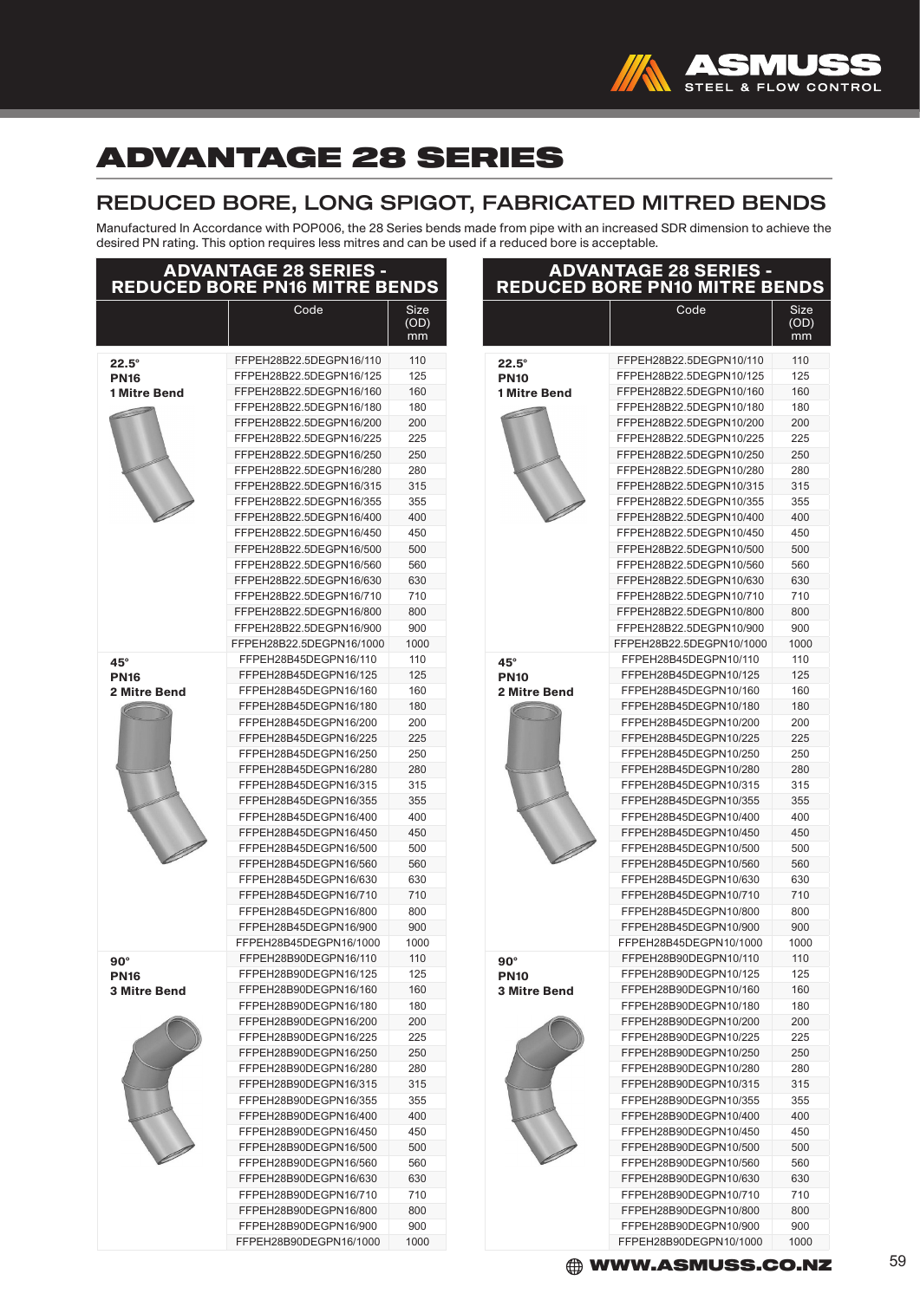

## ADVANTAGE 28 SERIES

### REDUCED BORE, LONG SPIGOT, FABRICATED MITRED BENDS

Manufactured In Accordance with POP006, the 28 Series bends made from pipe with an increased SDR dimension to achieve the desired PN rating. This option requires less mitres and can be used if a reduced bore is acceptable.

| <b>ADVANTAGE 28 SERIES -</b><br><b>REDUCED BORE PN16 MITRE BENDS</b> |                                                                                                                                                                                                                                                                                                                                                                                                                                                                                                                                                 |                                                                                                                                                   |  |  |
|----------------------------------------------------------------------|-------------------------------------------------------------------------------------------------------------------------------------------------------------------------------------------------------------------------------------------------------------------------------------------------------------------------------------------------------------------------------------------------------------------------------------------------------------------------------------------------------------------------------------------------|---------------------------------------------------------------------------------------------------------------------------------------------------|--|--|
|                                                                      | Code                                                                                                                                                                                                                                                                                                                                                                                                                                                                                                                                            | Size<br>(OD)<br>mm                                                                                                                                |  |  |
| $22.5^\circ$<br><b>PN16</b><br>1 Mitre Bend                          | FFPEH28B22.5DEGPN16/110<br>FFPEH28B22.5DEGPN16/125<br>FFPEH28B22.5DEGPN16/160<br>FFPEH28B22.5DEGPN16/180<br>FFPEH28B22.5DEGPN16/200<br>FFPEH28B22.5DEGPN16/225<br>FFPEH28B22.5DEGPN16/250<br>FFPEH28B22.5DEGPN16/280<br>FFPEH28B22.5DEGPN16/315<br>FFPEH28B22.5DEGPN16/355<br>FFPEH28B22.5DEGPN16/400<br>FFPEH28B22.5DEGPN16/450<br>FFPEH28B22.5DEGPN16/500<br>FFPEH28B22.5DEGPN16/560<br>FFPEH28B22.5DEGPN16/630<br>FFPEH28B22.5DEGPN16/710<br>FFPEH28B22.5DEGPN16/800                                                                         | 110<br>125<br>160<br>180<br>200<br>225<br>250<br>280<br>315<br>355<br>400<br>450<br>500<br>560<br>630<br>710<br>800                               |  |  |
| 45°<br><b>PN16</b><br>2 Mitre Bend                                   | FFPEH28B22.5DEGPN16/900<br>FFPEH28B22.5DEGPN16/1000<br>FFPEH28B45DEGPN16/110<br>FFPEH28B45DEGPN16/125<br>FFPEH28B45DEGPN16/160<br>FFPEH28B45DEGPN16/180<br>FFPEH28B45DEGPN16/200<br>FFPEH28B45DEGPN16/225<br>FFPEH28B45DEGPN16/250<br>FFPEH28B45DEGPN16/280<br>FFPEH28B45DEGPN16/315<br>FFPEH28B45DEGPN16/355<br>FFPEH28B45DEGPN16/400<br>FFPEH28B45DEGPN16/450<br>FFPEH28B45DEGPN16/500<br>FFPEH28B45DEGPN16/560<br>FFPEH28B45DEGPN16/630<br>FFPEH28B45DEGPN16/710<br>FFPEH28B45DEGPN16/800<br>FFPEH28B45DEGPN16/900<br>FFPEH28B45DEGPN16/1000 | 900<br>1000<br>110<br>125<br>160<br>180<br>200<br>225<br>250<br>280<br>315<br>355<br>400<br>450<br>500<br>560<br>630<br>710<br>800<br>900<br>1000 |  |  |
| 90°<br><b>PN16</b><br><b>3 Mitre Bend</b>                            | FFPEH28B90DEGPN16/110<br>FFPEH28B90DEGPN16/125<br>FFPEH28B90DEGPN16/160<br>FFPEH28B90DEGPN16/180<br>FFPEH28B90DEGPN16/200<br>FFPEH28B90DEGPN16/225<br>FFPEH28B90DEGPN16/250<br>FFPEH28B90DEGPN16/280<br>FFPEH28B90DEGPN16/315<br>FFPEH28B90DEGPN16/355<br>FFPEH28B90DEGPN16/400<br>FFPEH28B90DEGPN16/450<br>FFPEH28B90DEGPN16/500<br>FFPEH28B90DEGPN16/560<br>FFPEH28B90DEGPN16/630<br>FFPEH28B90DEGPN16/710<br>FFPEH28B90DEGPN16/800<br>FFPEH28B90DEGPN16/900<br>FFPEH28B90DEGPN16/1000                                                        | 110<br>125<br>160<br>180<br>200<br>225<br>250<br>280<br>315<br>355<br>400<br>450<br>500<br>560<br>630<br>710<br>800<br>900<br>1000                |  |  |

| a reduced bore is acceptable.                                  |                                                |                    |  |  |
|----------------------------------------------------------------|------------------------------------------------|--------------------|--|--|
| <b>ADVANTAGE 28 SERIES -<br/>REDUCED BORE PN10 MITRE BENDS</b> |                                                |                    |  |  |
|                                                                | Code                                           | Size<br>(OD)<br>mm |  |  |
| 22.5°                                                          | FFPEH28B22.5DEGPN10/110                        | 110                |  |  |
| <b>PN10</b>                                                    | FFPEH28B22.5DEGPN10/125                        | 125                |  |  |
| 1 Mitre Bend                                                   | FFPEH28B22.5DEGPN10/160                        | 160                |  |  |
|                                                                | FFPEH28B22.5DEGPN10/180                        | 180                |  |  |
|                                                                | FFPEH28B22.5DEGPN10/200                        | 200                |  |  |
|                                                                | FFPEH28B22.5DEGPN10/225                        | 225                |  |  |
|                                                                | FFPEH28B22.5DEGPN10/250                        | 250                |  |  |
|                                                                | FFPEH28B22.5DEGPN10/280                        | 280                |  |  |
|                                                                | FFPEH28B22.5DEGPN10/315                        | 315                |  |  |
|                                                                | FFPEH28B22.5DEGPN10/355                        | 355                |  |  |
|                                                                | FFPEH28B22.5DEGPN10/400                        | 400                |  |  |
|                                                                | FFPEH28B22.5DEGPN10/450                        | 450                |  |  |
|                                                                | FFPEH28B22.5DEGPN10/500                        | 500                |  |  |
|                                                                | FFPEH28B22.5DEGPN10/560                        | 560                |  |  |
|                                                                | FFPEH28B22.5DEGPN10/630                        | 630                |  |  |
|                                                                | FFPEH28B22.5DEGPN10/710                        | 710                |  |  |
|                                                                | FFPEH28B22.5DEGPN10/800                        | 800                |  |  |
|                                                                | FFPEH28B22.5DEGPN10/900                        | 900                |  |  |
|                                                                | FFPEH28B22.5DEGPN10/1000                       | 1000               |  |  |
| $45^{\circ}$                                                   | FFPEH28B45DEGPN10/110                          | 110                |  |  |
| <b>PN10</b>                                                    | FFPEH28B45DEGPN10/125                          | 125                |  |  |
| <b>2 Mitre Bend</b>                                            | FFPEH28B45DEGPN10/160                          | 160                |  |  |
|                                                                | FFPEH28B45DEGPN10/180                          | 180                |  |  |
|                                                                | FFPEH28B45DEGPN10/200                          | 200                |  |  |
|                                                                | FFPEH28B45DEGPN10/225                          | 225                |  |  |
|                                                                | FFPEH28B45DEGPN10/250                          | 250                |  |  |
|                                                                | FFPEH28B45DEGPN10/280                          | 280                |  |  |
|                                                                | FFPEH28B45DEGPN10/315                          | 315                |  |  |
|                                                                | FFPEH28B45DEGPN10/355                          | 355                |  |  |
|                                                                | FFPEH28B45DEGPN10/400                          | 400                |  |  |
|                                                                | FFPEH28B45DEGPN10/450                          | 450                |  |  |
|                                                                | FFPEH28B45DEGPN10/500                          | 500                |  |  |
|                                                                | FFPEH28B45DEGPN10/560                          | 560                |  |  |
|                                                                | FFPEH28B45DEGPN10/630                          | 630                |  |  |
|                                                                | FFPEH28B45DEGPN10/710                          | 710                |  |  |
|                                                                | FFPEH28B45DEGPN10/800                          | 800                |  |  |
|                                                                | FFPEH28B45DEGPN10/900                          | 900                |  |  |
|                                                                | FFPEH28B45DEGPN10/1000                         | 1000               |  |  |
| $90^\circ$                                                     | FFPEH28B90DEGPN10/110                          | 110                |  |  |
| <b>PN10</b><br><b>3 Mitre Bend</b>                             | FFPEH28B90DEGPN10/125<br>FFPEH28B90DEGPN10/160 | 125<br>160         |  |  |
|                                                                | FFPEH28B90DEGPN10/180                          | 180                |  |  |
|                                                                | FFPEH28B90DEGPN10/200                          | 200                |  |  |
|                                                                | FFPEH28B90DEGPN10/225                          | 225                |  |  |
|                                                                | FFPEH28B90DEGPN10/250                          | 250                |  |  |
|                                                                | FFPEH28B90DEGPN10/280                          | 280                |  |  |
|                                                                | FFPEH28B90DEGPN10/315                          | 315                |  |  |
|                                                                | FFPEH28B90DEGPN10/355                          | 355                |  |  |
|                                                                | FFPEH28B90DEGPN10/400                          | 400                |  |  |
|                                                                | FFPEH28B90DEGPN10/450                          | 450                |  |  |
|                                                                | FFPEH28B90DEGPN10/500                          | 500                |  |  |
|                                                                | FFPEH28B90DEGPN10/560                          | 560                |  |  |
|                                                                | FFPEH28B90DEGPN10/630                          | 630                |  |  |
|                                                                | FFPEH28B90DEGPN10/710                          | 710                |  |  |
|                                                                | FFPEH28B90DEGPN10/800                          | 800                |  |  |
|                                                                | FFPEH28B90DEGPN10/900                          | 900                |  |  |
|                                                                | FFPEH28B90DEGPN10/1000                         | 1000               |  |  |